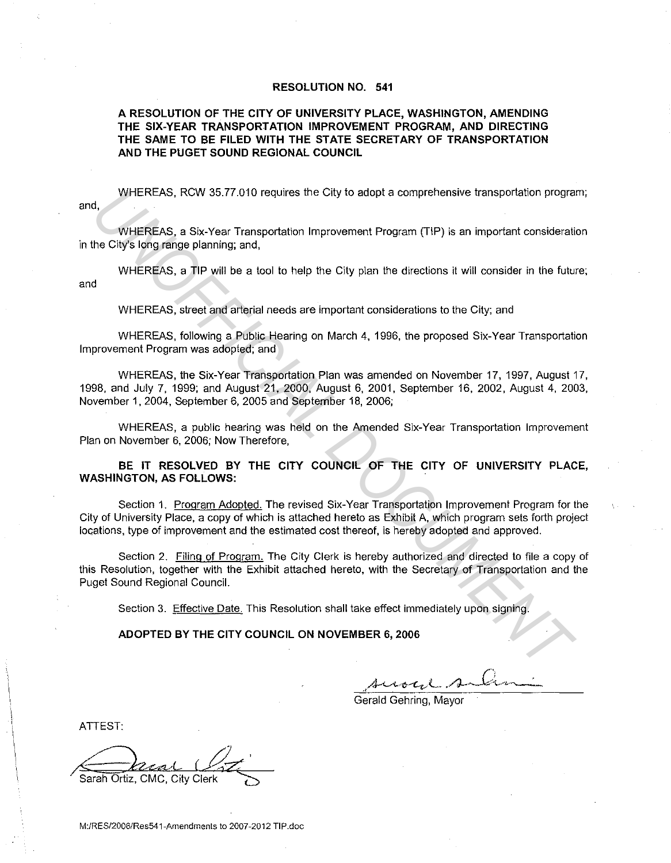## **RESOLUTION NO. 541**

# **A RESOLUTION OF THE CITY OF UNIVERSITY PLACE, WASHINGTON, AMENDING THE SIX-YEAR TRANSPORTATION IMPROVEMENT PROGRAM, AND DIRECTING THE SAME TO BE FILED WITH THE STATE SECRETARY OF TRANSPORTATION AND THE PUGET SOUND REGIONAL COUNCIL**

and, WHEREAS, RCW 35.77.010 requires the City to adopt a comprehensive transportation program;

WHEREAS. a Six-Year Transportation Improvement Program (TIP) is an important consideration in the City's long range planning; and,

WHEREAS, a **TIP** will be a tool to help the City plan the directions it will consider in the future; and

WHEREAS, street and arterial needs are important considerations to the City; and

WHEREAS, following a Public Hearing on March 4, 1996, the proposed Six-Year Transportation Improvement Program was adopted; and

WHEREAS, the Six-Year Transportation Plan was amended on November 17, 1997, August 17, 1998, and July 7, 1999; and August 21, 2000, August 6, 2001, September 16, 2002, August 4, 2003, November 1, 2004, September 6, 2005 and September 18, 2006; 4.<br>
4. WHEREAS, ROW 35.77.010 requires the City to adopt a comprehensive transportation program<br>
WHEREAS, a Six-Year Transportation Improvement Program (TIP) is an important consideration<br>
the City's long range planning; a

WHEREAS, a public hearing was held on the Amended Six-Year Transportation Improvement Plan on November 6, 2006; Now Therefore,

**BE IT RESOLVED BY THE CITY COUNCIL OF THE CITY OF UNIVERSITY PLACE, WASHINGTON, AS FOLLOWS:** 

Section 1. Program Adopted. The revised Six-Year Transportation Improvement Program for the City of University Place, a copy of which is attached hereto as Exhibit A. which program sets forth project locations. type of improvement and the estimated cost thereof, is hereby adopted and approved.

Section 2. Filing of Program. The City Clerk is hereby authorized and directed to file a copy of this Resolution, together with the Exhibit attached hereto, with the Secretary of Transportation and the Puget Sound Regional Council.

Section 3. Effective Date. This Resolution shall take effect immediately upon signing.

## **ADOPTED BY THE CITY COUNCIL ON NOVEMBER 6, 2006**

roye.

Gerald Gehring, Mayor

ATTEST:

Sarah Ortiz. CMG, City Clerk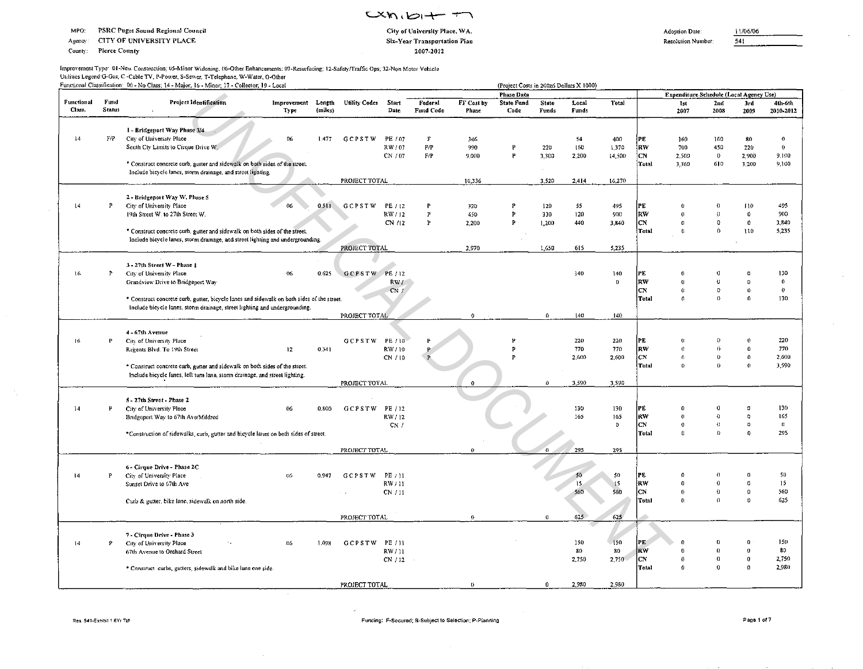Agency: CITY OF UNIVERSITY PLACE

County: **Pierce County** 

## $mxn, b + T$ City of University Place, WA. Six-Year Transportation Plan 2007-2012

Resolution Number:  $\overline{541}$ 

11/06/06

 $\overline{a}$ 

 $\sim$ 

| Improvement Type: 01-New Construction; 05-Minor Widening; 06-Other Enhancements; 07-Resurfacing; 12-Safety/Traffic Ops; 32-Non Motor Vehicle |
|----------------------------------------------------------------------------------------------------------------------------------------------|
| Utilities Legend:G-Gas, C-Cable TV, P-Power, S-Sewer, T-Telephone, W-Water, O-Other                                                          |
| Functional Classification: 00 - No Class; 14 - Major; 16 - Minor; 17 - Collector; 19 - Local                                                 |

|            |               | Functional Classification: 00 - No Class; 14 - Major; 16 - Minor; 17 - Collector; 19 - Local                                                               |                 |         |                      |         |              |             | (Project Costs in 200z6 Dollars X 1000)<br>Phase Data |          |       |              |              | Expenditure Schedule (Local Agency Use) |                  |                          |                  |
|------------|---------------|------------------------------------------------------------------------------------------------------------------------------------------------------------|-----------------|---------|----------------------|---------|--------------|-------------|-------------------------------------------------------|----------|-------|--------------|--------------|-----------------------------------------|------------------|--------------------------|------------------|
| Functional | Fund          | Project Identification                                                                                                                                     | Improvement     | Length  | <b>Utility Codes</b> | Start   | Federal      | FF Cost by  | <b>State Fund</b>                                     | State    | Local | Total        |              | Ist                                     | 2nd              | 3rd                      | 4th-6th          |
| Class.     | <b>Status</b> | $\cdot$                                                                                                                                                    | Type            | (miles) |                      | Date    | Fund Code    | Phase       | Code                                                  | Funds    | Funds |              |              | 2007                                    | 2008             | 2009                     | 2010-2012        |
|            |               | 1 - Bridgeport Way Phase 3/4                                                                                                                               |                 |         |                      |         |              |             |                                                       |          |       |              |              |                                         |                  |                          |                  |
| 14         | F/P           | City of University Place                                                                                                                                   | 06              | 1.477   | <b>GCPSTW</b>        | PE / 07 | $\mathbf{F}$ | 346         |                                                       |          | 54    | 400          | PE           | 160                                     | 160              | 80                       | $\boldsymbol{0}$ |
|            |               | South Cty Limits to Cirque Drive W.                                                                                                                        |                 |         |                      | RW/07   | F/P          | 990         | P                                                     | 220      | 160   | 1,370        | RW           | 700                                     | 450              | 220                      | $\mathbf 0$      |
|            |               |                                                                                                                                                            |                 |         |                      | CN / 07 | F/P          | 9,000       | P                                                     | 3,300    | 2.200 | 14.500       | CN.          | 2,500                                   | $\mathbf{0}$     | 2,900                    | 9,100            |
|            |               | * Construct concrete curb, guiter and sidewalk on both sides of the street.                                                                                |                 |         |                      |         |              |             |                                                       |          |       |              | Total        | 3,360                                   | 610              | 3,200                    | 9,100            |
|            |               | include bicycle lanes, storm drainage, and street lighting.                                                                                                |                 |         |                      |         |              |             |                                                       |          |       |              |              |                                         |                  |                          |                  |
|            |               |                                                                                                                                                            |                 |         | PROJECT TOTAL        |         |              | 10,336      |                                                       | 3,520    | 2,414 | 16,270       |              |                                         |                  |                          |                  |
|            |               | 2 - Bridgeport Way W. Phase 5                                                                                                                              |                 |         |                      |         |              |             |                                                       |          |       |              |              |                                         |                  |                          |                  |
| $\sqrt{4}$ | Р             | City of University Place                                                                                                                                   | 06              | 0.511   | <b>GCPSTW</b>        | PE / 12 | P            | 320         | P                                                     | 120      | 55    | 495          | PE           |                                         | o                | 110                      | 495              |
|            |               | 19th Street W. to 27th Street W.                                                                                                                           |                 |         |                      | RW/12   | P            | 450         | P                                                     | 330      | 120   | 900          | RW           |                                         | $\theta$         | 0                        | 900              |
|            |               |                                                                                                                                                            |                 |         |                      | CN /12  | P            | 2,200       | P                                                     | 1,200    | 440   | 3,840        | <b>CN</b>    | $\Omega$                                | 0                | 0                        | 3,840            |
|            |               | * Construct concrete curb, gutter and sidewalk on both sides of the street.                                                                                |                 |         |                      |         |              |             |                                                       |          |       |              | Total        | ŧ.                                      | $\theta$         | 110                      | 5,235            |
|            |               | Include bicycle lanes, storm drainage, and street lighting and undergrounding.                                                                             |                 |         |                      |         |              |             |                                                       |          |       |              |              |                                         |                  |                          |                  |
|            |               |                                                                                                                                                            |                 |         | PROJECT TOTAL        |         |              | 2,970       |                                                       | 1.650    | 615   | 5,235        |              |                                         |                  |                          |                  |
|            |               |                                                                                                                                                            |                 |         |                      |         |              |             |                                                       |          |       |              |              |                                         |                  |                          |                  |
| 16         | P             | 3 - 27th Street W - Phase 1                                                                                                                                | 06              |         |                      | PE / 12 |              |             |                                                       |          | 140   |              |              |                                         | Ó                |                          | 130              |
|            |               | City of University Place                                                                                                                                   |                 | 0.625   | <b>GCPSTW</b>        |         |              |             |                                                       |          |       | 140          | РË<br>RW     |                                         | ö                |                          | $\mathbf{0}$     |
|            |               | Grandview Drive to Bridgeport Way                                                                                                                          |                 |         |                      | RW/     |              |             |                                                       |          |       | $\mathbf{0}$ | CN           | $\Omega$                                | $\Omega$         | $\mathbf{0}$             | $\bf 0$          |
|            |               | * Construct concrete curb, gutter, bicycle lanes and sidewalk on both sides of the street.                                                                 |                 |         |                      | CN/     |              |             |                                                       |          |       |              | Total        | $\Omega$                                | $\Omega$         | $\theta$                 | 130              |
|            |               | Include bicycle lanes, storm drainage, street lighting and undergrounding.                                                                                 |                 |         |                      |         |              |             |                                                       |          |       |              |              |                                         |                  |                          |                  |
|            |               |                                                                                                                                                            |                 |         | PROJECT TOTAL        |         |              | $\theta$    |                                                       | 0        | 140   | 140          |              |                                         |                  |                          |                  |
|            |               |                                                                                                                                                            |                 |         |                      |         |              |             |                                                       |          |       |              |              |                                         |                  |                          |                  |
|            |               | 4 - 67th Avenue                                                                                                                                            |                 |         |                      |         |              |             |                                                       |          |       |              |              |                                         |                  |                          |                  |
| 16         | P             | City of University Place                                                                                                                                   |                 |         | GCPSTW               | PE / 10 |              |             |                                                       |          | 220   | 220          | PE           |                                         | $\Omega$<br>Ó    |                          | 220<br>770       |
|            |               | Regents Blvd. To 19th Street                                                                                                                               | 12 <sub>2</sub> | 0.341   |                      | RW / 10 |              |             | P                                                     |          | 770   | 770          | RW<br>CN.    | $\Omega$<br>$\Omega$                    | 0                | $\theta$<br>$\mathbf{0}$ | 2,600            |
|            |               |                                                                                                                                                            |                 |         |                      | CN / 10 |              |             |                                                       |          | 2,600 | 2,600        | Total        | $\Omega$                                | 0                | $\theta$                 | 3,590            |
|            |               | * Construct concrete curb, gutter and sidewalk on both sides of the street.<br>Include bicycle fanes, left turn lane, storm drainage, and street lighting. |                 |         |                      |         |              |             |                                                       |          |       |              |              |                                         |                  |                          |                  |
|            |               |                                                                                                                                                            |                 |         | PROJECT TOTAL        |         |              | $\mathbf 0$ |                                                       | $\Omega$ | 3,590 | 3,590        |              |                                         |                  |                          |                  |
|            |               |                                                                                                                                                            |                 |         |                      |         |              |             |                                                       |          |       |              |              |                                         |                  |                          |                  |
|            |               | 5 - 27th Street - Phase 2                                                                                                                                  |                 |         |                      |         |              |             |                                                       |          |       |              |              |                                         |                  |                          |                  |
| 14         | $\mathbf{P}$  | City of University Place                                                                                                                                   | 06              | 0.800   | GCPSTW               | PE / 12 |              |             |                                                       |          | 130   | 130          | PF           |                                         | 0                |                          | 130              |
|            |               | Bridgeport Way to 67th Ave/Mildred                                                                                                                         |                 |         |                      | RW/12   |              |             |                                                       |          | 165   | 165          | RW           | $\Omega$                                | O                |                          | 165              |
|            |               |                                                                                                                                                            |                 |         |                      | CN/     |              |             |                                                       |          |       | $^{\circ}$   | <b>CN</b>    | $\Omega$                                | $\alpha$         | $\Omega$                 | $\,$ ()          |
|            |               | *Construction of sidewalks, curb, gutter and bicycle lanes on both sides of street.                                                                        |                 |         |                      |         |              |             |                                                       |          |       |              | <b>Total</b> | $\Omega$                                | $\bf{0}$         | $\Omega$                 | 295              |
|            |               |                                                                                                                                                            |                 |         | PROJECT TOTAL        |         |              | Û           |                                                       | $\Omega$ | 295   | 295          |              |                                         |                  |                          |                  |
|            |               |                                                                                                                                                            |                 |         |                      |         |              |             |                                                       |          |       |              |              |                                         |                  |                          |                  |
|            |               | 6 - Cirque Drive - Phase 2C                                                                                                                                |                 |         |                      |         |              |             |                                                       |          |       |              |              |                                         |                  |                          |                  |
| 14         | $\mathbf{P}$  | City of University Place                                                                                                                                   | 06              | 0.947   | <b>GCPSTW</b>        | PE / 11 |              |             |                                                       |          | 50    | 50           | PE           |                                         | $\Omega$         |                          | 50               |
|            |               | Sunset Drive to 67th Ave                                                                                                                                   |                 |         |                      | RW / 11 |              |             |                                                       |          | 15    | 15           | RW           | $\bf{0}$                                | $\bf{0}$         | $\Omega$                 | 15               |
|            |               |                                                                                                                                                            |                 |         | $\sim$ 1.4           | CN / 11 |              |             |                                                       |          | 560   | 560          | CN           | $\theta$                                | $\theta$         | $\Omega$                 | 560              |
|            |               | Curb & gutter, bike lane, sidewalk on north side.                                                                                                          |                 |         |                      |         |              |             |                                                       |          |       |              | Total        | $\Omega$                                | $\Omega$         | Ø.                       | 625              |
|            |               |                                                                                                                                                            |                 |         | PROJECT TOTAL        |         |              | $\theta$    |                                                       | $\Omega$ | 625   | 625          |              |                                         |                  |                          |                  |
|            |               |                                                                                                                                                            |                 |         |                      |         |              |             |                                                       |          |       |              |              |                                         |                  |                          |                  |
|            |               | 7 - Cirque Drive - Phase 3                                                                                                                                 |                 |         |                      |         |              |             |                                                       |          |       |              |              |                                         |                  |                          |                  |
| $\vert$ 4  | p             | City of University Place                                                                                                                                   | 06              | 1.098   | GCPSTW               | PE / 11 |              |             |                                                       |          | 150   | $-150$       | PE.          |                                         |                  |                          | 150              |
|            |               | 67th Avenue to Orchard Street                                                                                                                              |                 |         |                      | RW/11   |              |             |                                                       |          | 80    | 80           | <b>RW</b>    |                                         | 0                |                          | 80               |
|            |               |                                                                                                                                                            |                 |         |                      | CN/12   |              |             |                                                       |          | 2,750 | 2,750        | lсм          | 0                                       | $\boldsymbol{0}$ | -a                       | 2,750            |
|            |               | * Construct curbs, gutters, sidewalk and bike lane one side.                                                                                               |                 |         |                      |         |              |             |                                                       |          |       |              | Total        | ٨                                       | $\Omega$         |                          | 2,980            |
|            |               |                                                                                                                                                            |                 |         |                      |         |              |             |                                                       |          |       |              |              |                                         |                  |                          |                  |
|            |               |                                                                                                                                                            |                 |         | PROJECT TOTAL        |         |              | $\theta$    |                                                       | $\Omega$ | 2,980 | 2,980        |              |                                         |                  |                          |                  |

 $\mathcal{A}_1$ 

 $\sim$ 

i.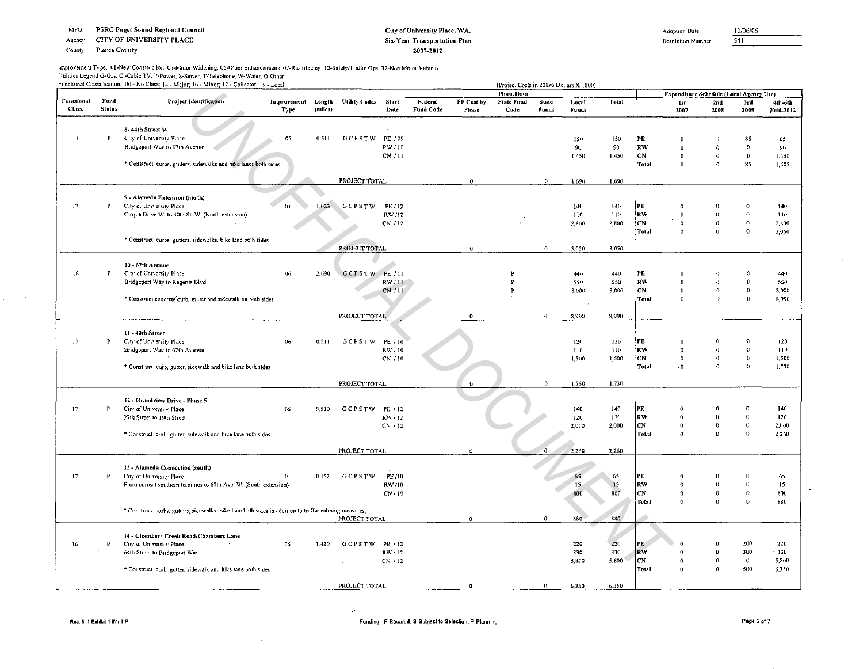MPO: PSRC Puget Sound Regional Council

CITY OF UNIVERSITY PLACE Agency:

County: **Pierce County** 

## City of University Place, WA. Six-Year Transportation Plan 2007-2012

Adoption Date:

11/06/06  $541$ 

Resolution Number:

## Improvement Type: 01-New Construction; 05-Minor Widening; 06-Other Enhancements; 07-Resurfacing; 12-Safety/Traffic Ops; 32-Non Motor Vehicle Utilities Legend G-Gas, C -Cable TV, P-Power, S-Sewer, T-Telephone, W-Water, O-Other<br>Functional Classification: 00 - No Class: 14 - Major: 16 - Minor: 17 - Collector: 19 - Local

|                 |               | Functional Classification: 00 - No Class: 14 - Major, 16 - Minor, 17 - Collector, 19 - Local         |             |         |               |         |           |            | (Project Costs in 200z6 Dollars X 1000)<br><b>Phase Data</b> |              |            |            |                  | Expenditure Schedule (Local Agency Use) |                      |                     |                 |
|-----------------|---------------|------------------------------------------------------------------------------------------------------|-------------|---------|---------------|---------|-----------|------------|--------------------------------------------------------------|--------------|------------|------------|------------------|-----------------------------------------|----------------------|---------------------|-----------------|
| Functional      | Fund          | <b>Project Identification</b>                                                                        | Improvement | Length  | Unlity Codes  | Start   | Federal   | FF Cost by | <b>State Fund</b>                                            | <b>State</b> | Local      | Total      |                  | 1st                                     | 2nd                  | 3rd                 | 4th-6th         |
| Class.          | <b>Status</b> |                                                                                                      | Type        | (miles) |               | Date    | Fund Code | Phase      | Code                                                         | Funds        | Funds      |            |                  | 2007                                    | 2008                 | 2009                | 2010-2012       |
|                 |               | 8-44th Street W                                                                                      |             |         |               |         |           |            |                                                              |              |            |            |                  |                                         |                      |                     |                 |
| $\overline{17}$ | P             | City of University Place                                                                             | 06          | 0.511   | <b>GCPSTW</b> | PE / 09 |           |            |                                                              |              | 150        | 150        | PE               | $\theta$                                | $\Omega$             | 85                  | 65              |
|                 |               | Bridgeport Way to 67th Avenue                                                                        |             |         |               | RW/10   |           |            |                                                              |              | 90         | 90         | RW               | $\theta$                                | $^{\circ}$           | 0                   | 90 <sub>1</sub> |
|                 |               |                                                                                                      |             |         |               | CN / 11 |           |            |                                                              |              | 1.450      | 1,450      | CN               | $\theta$                                | $\mathbf{0}$         | 0                   | 1,450           |
|                 |               | * Construct curbs, gutters, sidewalks and bike lanes both sides                                      |             |         |               |         |           |            |                                                              |              |            |            | Total            | $\theta$                                | $\pmb{\Omega}$       | 85                  | 1,605           |
|                 |               |                                                                                                      |             |         | PROJECT TOTAL |         |           | $\theta$   |                                                              | $\mathbf{0}$ | 1.690      | 1,690      |                  |                                         |                      |                     |                 |
|                 |               | 9 - Alameda Extension (north)                                                                        |             |         |               |         |           |            |                                                              |              |            |            |                  |                                         |                      |                     |                 |
| 17              | P             | City of University Place                                                                             | 01          | 1.023   | <b>GCPSTW</b> | PE / 12 |           |            |                                                              |              | 140        | 140        | PE               | $\Omega$                                | -0                   |                     | 140             |
|                 |               | Cirque Drive W. to 40th St. W. (North extension)                                                     |             |         |               | RW/12   |           |            |                                                              |              | 110        | 110        | RW               | $\theta$                                | $\theta$             | $\theta$            | 110             |
|                 |               |                                                                                                      |             |         |               | CN / 12 |           |            |                                                              |              | 2.800      | 2,800      | CN               | $\Omega$                                | $\Omega$             | $\boldsymbol{0}$    | 2,800           |
|                 |               | * Construct curbs, gutters, sidewalks, bike lane both sides.                                         |             |         |               |         |           |            |                                                              |              |            |            | Total            | $^{\circ}$                              | $\bf{0}$             | $\theta$            | 3,050           |
|                 |               |                                                                                                      |             |         | PROJECT TOTAL |         |           | $\theta$   |                                                              | $\theta$     | 3.050      | 3,050      |                  |                                         |                      |                     |                 |
|                 |               | 10 - 67th Avenue                                                                                     |             |         |               |         |           |            |                                                              |              |            |            |                  |                                         |                      |                     |                 |
| 16              | $\, {\bf p}$  | City of University Place                                                                             | 06          | 2,690   | GCPSTW PE/11  |         |           |            | P                                                            |              | 440        | 440        | PE               | $\Omega$                                | $\Omega$             |                     | 440             |
|                 |               | Bridgeport Way to Regents Blvd.                                                                      |             |         |               | RW/11   |           |            | p                                                            |              | 550        | 550        | RW               | $\theta$                                | $\Omega$             | €                   | 550             |
|                 |               |                                                                                                      |             |         |               | CN/11   |           |            | P                                                            |              | 8,000      | 8,000      | CN               | $\theta$                                | $\Omega$             | $\theta$            | 8,000           |
|                 |               | * Construct concrete curb, gutter and sidewalk on both sides.                                        |             |         |               |         |           |            |                                                              |              |            |            | Total            | $\theta$                                | D.                   | $\Omega$            | 8,990           |
|                 |               |                                                                                                      |             |         | PROJECT TOTAL |         |           | $\theta$   |                                                              | $\mathbf{0}$ | 8,990      | 8,990      |                  |                                         |                      |                     |                 |
|                 |               |                                                                                                      |             |         |               |         |           |            |                                                              |              |            |            |                  |                                         |                      |                     |                 |
|                 | P             | 11 - 40th Street                                                                                     |             |         |               |         |           |            |                                                              |              |            |            |                  | $\theta$                                | $\theta$             | o                   |                 |
| $17\,$          |               | City of University Place                                                                             | $06 -$      | 0.511   | GCPSTW PE/10  | RW/10   |           |            |                                                              |              | 120<br>110 | 120<br>110 | PE<br>irw.       | $\theta$                                | $\Omega$             | $\Omega$            | 120<br>110      |
|                 |               | Bridgeport Way to 67th Avenue                                                                        |             |         |               | CN / 10 |           |            |                                                              |              | 1,500      | 1,500      | †CN              | $\Omega$                                | $\theta$             | $\Omega$            | 1,500           |
|                 |               | * Construct curb, gutter, sidewalk and bike lane both sides                                          |             |         |               |         |           |            |                                                              |              |            |            | Total            | $\ddot{0}$                              | $^{\circ}$           | $\Omega$            | 1,730           |
|                 |               |                                                                                                      |             |         |               |         |           |            |                                                              |              |            |            |                  |                                         |                      |                     |                 |
|                 |               |                                                                                                      |             |         | PROJECT TOTAL |         |           | $\Omega$   |                                                              | $\Omega$     | 1,730      | 1,730      |                  |                                         |                      |                     |                 |
|                 |               | 12 - Grandview Drive - Phase 5                                                                       |             |         |               |         |           |            |                                                              |              |            |            |                  |                                         |                      |                     |                 |
| 17              | Þ             | City of University Place                                                                             | 06          | 0.530   | GCPSTW PE/12  |         |           |            |                                                              |              | 140        | 140        | PE               | $\bf{0}$                                | $\theta$             |                     | 140             |
|                 |               | 27th Street to 19th Street                                                                           |             |         |               | RW/12   |           |            |                                                              |              | 120        | 120        | RV/<br><b>CN</b> | $\theta$                                | $\bf{0}$             | $\Omega$            | 120             |
|                 |               | * Construct curb, gutter, sidewalk and bike lane both sides                                          |             |         |               | CN / 12 |           |            |                                                              |              | 2,000      | 2,000      | Tetal            | $\theta$<br>$\Omega$                    | $\bf{0}$<br>$\Omega$ | $\circ$<br>$\Omega$ | 2,000<br>2,260  |
|                 |               |                                                                                                      |             |         |               |         |           |            |                                                              |              |            |            |                  |                                         |                      |                     |                 |
|                 |               |                                                                                                      |             |         | PROJECT TOTAL |         |           | Ò          |                                                              | $\Omega$     | 2,260      | 2,260      |                  |                                         |                      |                     |                 |
|                 |               | 13 - Alameda Connection (south)                                                                      |             |         |               |         |           |            |                                                              |              |            |            |                  |                                         |                      |                     |                 |
| 17              | P             | City of University Place                                                                             | 01          | 0.152   | <b>GCPSTW</b> | PE /10  |           |            |                                                              |              | 65         | 65         | PE               | $\theta$                                | $^{\circ}$           |                     | 65              |
|                 |               | From current southern terminus to 67th Ave. W. (South extension)                                     |             |         |               | RW /10  |           |            |                                                              |              | 15         | 15         | RW               | $\theta$                                | $\mathbf{u}$         | $\ddot{\mathbf{r}}$ | 15              |
|                 |               |                                                                                                      |             |         |               | CN/19   |           |            |                                                              |              | 800        | 800        | <b>CN</b>        | $\theta$                                | $\theta$             | $\Omega$            | 800             |
|                 |               | * Construct curbs, gutters, sidewalks, bike lane both sides in addition to traffic calming measures, |             |         |               |         |           |            |                                                              |              |            |            | Total            | $\mathbf{0}$                            | $\Omega$             | $\bf{0}$            | 880             |
|                 |               |                                                                                                      |             |         | PROJECT TOTAL |         |           | $\bf{0}$   |                                                              | 0            | 880        | 880        |                  |                                         |                      |                     |                 |
|                 |               | 14 - Chambers Creek Road/Chambers Lane                                                               |             |         |               |         |           |            |                                                              |              |            |            |                  |                                         |                      |                     |                 |
| 16              | P             | City of University Place                                                                             | n6          | 1,420   | GCPSTW        | PE / 12 |           |            |                                                              |              | 220        | 220        | PE               |                                         | $\theta$             | 200                 | 220             |
|                 |               | 64th Street to Bridgeport Way                                                                        |             |         |               | RW / 12 |           |            |                                                              |              | 330        | 330        | RW               | $\bf{0}$                                | $\theta$             | 300                 | 330             |
|                 |               |                                                                                                      |             |         |               | CN / 12 |           |            |                                                              |              | 5,800      | 5,800      | СN               | $\theta$                                | 0                    | $\theta$            | 5,800           |
|                 |               | * Construct curb, gutter, sidewalk and bike lane both sides                                          |             |         |               |         |           |            |                                                              |              |            |            | Total            | $\theta$                                | $\bf{0}$             | 500                 | 6,350           |
|                 |               |                                                                                                      |             |         | PROJECT TOTAL |         |           | $\Omega$   |                                                              |              | 6,350      | 6,350      |                  |                                         |                      |                     |                 |

y.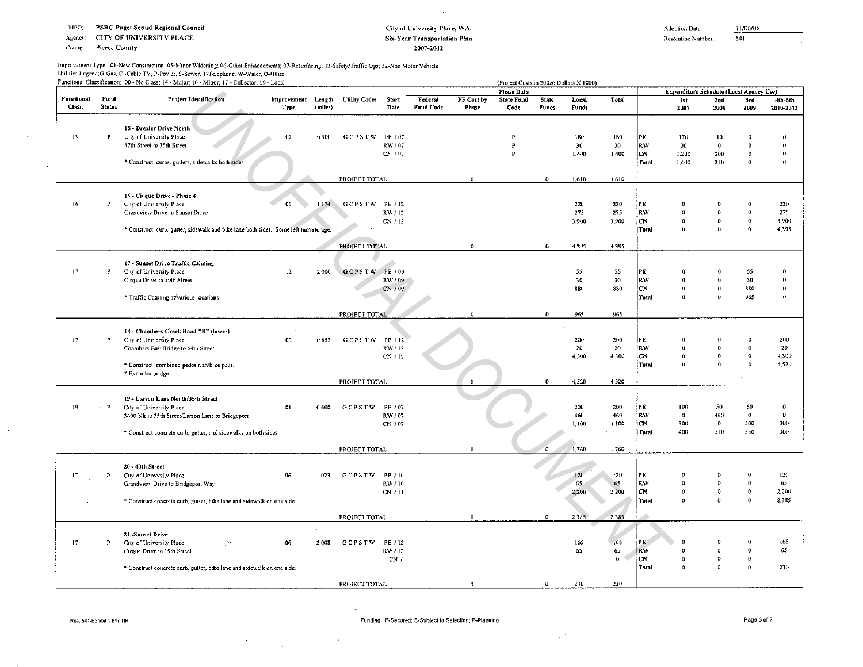Agency: CITY OF UNIVERSITY PLACE

County **Pierce County** 

## City of University Place, WA. **Six-Year Transportation Plan** 2007-2012

Adoption Date:

 $541$ 

Resolution Number:

Improvement Type: 01-New Construction; 05-Minor Widening; 06-Other Enhancements; 07-Resurfacing; 12-Safety/Traffic Ops; 32-Non Motor Vehicle Utilities Legend, G-Gas, C -Cable TV, P-Power, S-Sewer, T-Telephone, W-Water, O-Other

|                      |                       | Functional Classification; 00 - No Class; 14 - Major; 16 - Minor; 17 - Collector; 19 - Local |                            |         |                     |                    |                      |                     | (Project Costs in 200z6 Dollars X 1000) |                       |                |              |                 |                                         |                     |             |                      |
|----------------------|-----------------------|----------------------------------------------------------------------------------------------|----------------------------|---------|---------------------|--------------------|----------------------|---------------------|-----------------------------------------|-----------------------|----------------|--------------|-----------------|-----------------------------------------|---------------------|-------------|----------------------|
|                      |                       |                                                                                              |                            |         |                     |                    |                      |                     | <b>Phase Data</b>                       |                       |                |              |                 | Expenditure Schedule (Local Agency Use) |                     |             |                      |
| Functional<br>Class. | Fund<br><b>Status</b> | <b>Project Identification</b>                                                                | Improvement Length<br>Type | (miles) | Utility Codes Start | Date               | Federal<br>Fund Code | FF Cost by<br>Phase | <b>State Fund</b><br>Code               | <b>State</b><br>Funds | Local<br>Funds | <b>Total</b> |                 | 1st<br>2007                             | 2nd<br>2003         | 3rd<br>2009 | 4th-6th<br>2010-2012 |
|                      |                       |                                                                                              |                            |         |                     |                    |                      |                     |                                         |                       |                |              |                 |                                         |                     |             |                      |
| 19                   | P                     | 15 - Drexler Drive North                                                                     |                            |         |                     |                    |                      |                     | P                                       |                       |                |              |                 |                                         |                     |             |                      |
|                      |                       | City of University Place<br>37th Street to 35th Street                                       | 01                         | 0.300   | GCPSTW              | PE / 07<br>RW / 07 |                      |                     | $\mathbf{P}$                            |                       | 180<br>30      | 180<br>30    | PE<br><b>RW</b> | 170<br>30                               | 10<br>$\bf{0}$      |             | $\Omega$<br>$\bf{0}$ |
|                      |                       |                                                                                              |                            |         |                     | CN / 07            |                      |                     | P                                       |                       | 1,400          | 1,400        | lon             | 1,200                                   | 200                 |             | 0                    |
|                      |                       | * Construct curbs, gutters, sidewalks both sides                                             |                            |         |                     |                    |                      |                     |                                         |                       |                |              | !Total          | 1,400                                   | 210                 | o           | 0                    |
|                      |                       |                                                                                              |                            |         |                     |                    |                      |                     |                                         |                       |                |              |                 |                                         |                     |             |                      |
|                      |                       |                                                                                              |                            |         | PROJECT TOTAL       |                    |                      | $\mathbf{0}$        |                                         | $\theta$              | 1,610          | 1,610        |                 |                                         |                     |             |                      |
|                      |                       | 16 - Cirque Drive - Phase 4                                                                  |                            |         |                     |                    |                      |                     |                                         |                       |                |              |                 |                                         |                     |             |                      |
| 16                   | P                     | City of University Place                                                                     | 06                         | 1.174   | <b>GCPSTW</b>       | PE / 12            |                      |                     |                                         |                       | 220            | 220          | !PE             | $\overline{0}$                          | $\theta$            |             | 220                  |
|                      |                       | Grandview Drive to Sunset Drive                                                              |                            |         |                     | RW / 12            |                      |                     |                                         |                       | 275            | 275          | RW              | $\Omega$                                | $\theta$            | $\Omega$    | 275                  |
|                      |                       |                                                                                              |                            |         |                     | CN / 12            |                      |                     |                                         |                       | 3,900          | 3,900        | ¦CN             | $\Omega$                                | $\Omega$            | $\theta$    | 3,900                |
|                      |                       | * Construct curb, gutter, sidewalk and bike lane both sides. Some left turn storage.         |                            |         |                     |                    |                      |                     |                                         |                       |                |              | Total           | $\bf{D}$                                | $\theta$            | $\Omega$    | 4 3 9 5              |
|                      |                       |                                                                                              |                            |         | PROJECT TOTAL       |                    |                      | $\Omega$            |                                         | $\bf{0}$              | 4.395          | 4,395        |                 |                                         |                     |             |                      |
|                      |                       |                                                                                              |                            |         |                     |                    |                      |                     |                                         |                       |                |              |                 |                                         |                     |             |                      |
|                      |                       | 17 - Sunset Drive Traffic Calming                                                            |                            |         |                     |                    |                      |                     |                                         |                       |                |              |                 |                                         |                     |             | $\Omega$             |
| 17                   | P                     | City of University Place                                                                     | 12 <sub>12</sub>           | 2.000   | <b>GCPSTW</b>       | PE / 09            |                      |                     |                                         |                       | 55<br>30       | 55           | PE<br> RW       | -0<br>$\Omega$                          | 0<br>$\theta$       | 55<br>30    | $\bf{0}$             |
|                      |                       | Cirque Drive to 19th Street                                                                  |                            |         |                     | RW / 09<br>CN / 09 |                      |                     |                                         |                       | 880            | 30<br>880    | CN              | $\mathbf{o}$                            | $\alpha$            | 880         | 0                    |
|                      |                       | * Traffic Calming at various locations                                                       |                            |         |                     |                    |                      |                     |                                         |                       |                |              | Total           | $\theta$                                | 0                   | 965         | $\bullet$            |
|                      |                       |                                                                                              |                            |         |                     |                    |                      |                     |                                         |                       |                |              |                 |                                         |                     |             |                      |
|                      |                       |                                                                                              |                            |         | PROJECT TOTAL       |                    |                      | $\mathbf{0}$        |                                         | $\theta$              | $96 -$         | 965          |                 |                                         |                     |             |                      |
|                      |                       |                                                                                              |                            |         |                     |                    |                      |                     |                                         |                       |                |              |                 |                                         |                     |             |                      |
| 17                   | P                     | 18 - Chambers Creek Road "B" (lower)<br>City of University Place                             | 06                         | 0.852   | GCPSTW              | PE / 12            |                      |                     |                                         |                       | 200            | 200          | IPE.            | -0                                      | 0                   |             | 200                  |
|                      |                       | Chambers Bay Bridge to 64th Street                                                           |                            |         |                     | RW / 12            |                      |                     |                                         |                       | 20             | 20           | R W             | $\theta$                                | $\bf{0}$            | $\theta$    | 20 <sub>o</sub>      |
|                      |                       |                                                                                              |                            |         |                     | CN / 12            |                      |                     |                                         |                       | 4,300          | 4,300        | ¦CN             | $\theta$                                | $\theta$            | $\Omega$    | 4,300                |
|                      |                       | * Construct combined pedestrian/bike path.                                                   |                            |         |                     |                    |                      |                     |                                         |                       |                |              | Total           | $\theta$                                | $\mathbf{0}$        | $\Omega$    | 4,520                |
|                      |                       | * Excludes bridge.                                                                           |                            |         |                     |                    |                      | $\theta$            |                                         | $\theta$              | 4,520          |              |                 |                                         |                     |             |                      |
|                      |                       |                                                                                              |                            |         | PROJECT TOTAL       |                    |                      |                     |                                         |                       |                | 4,520        |                 |                                         |                     |             |                      |
|                      |                       | 19 - Larson Lane North/35th Street                                                           |                            |         |                     |                    |                      |                     |                                         |                       |                |              |                 |                                         |                     |             |                      |
| 19                   | P                     | City of University Place                                                                     | 01                         | 0.600   | GCPSTW              | PE / 07            |                      |                     |                                         |                       | 200            | 200          | ire.            | 100                                     | 50                  | 50          | $\theta$             |
|                      |                       | 3600 blk to 35th Street/Larson Lane to Bridgeport                                            |                            |         |                     | RW / 07            |                      |                     |                                         |                       | 460            | 460          | in w            | $\ddot{\mathbf{0}}$                     | 460                 | $\bf{0}$    | $\theta$             |
|                      |                       | * Construct concrete curb, gutter, and sidewalks on both sides                               |                            |         |                     | CN / 07            |                      |                     |                                         |                       | 1,100          | 1,100        | ìсм<br>lTotal   | 300<br>400                              | $\mathbf{0}$<br>510 | 500<br>550  | 300<br>300           |
|                      |                       |                                                                                              |                            |         |                     |                    |                      |                     |                                         |                       |                |              |                 |                                         |                     |             |                      |
|                      |                       |                                                                                              |                            |         | PROJECT TOTAL       |                    |                      | $\Omega$            |                                         | $\Omega$              | 1,760          | 1,760        |                 |                                         |                     |             |                      |
|                      |                       |                                                                                              |                            |         |                     |                    |                      |                     |                                         |                       |                |              |                 |                                         |                     |             |                      |
| 17                   | p                     | 20 - 40th Street<br>City of University Place                                                 | 06                         | 1.023   | <b>GCPSTW</b>       | PE / 10            |                      |                     |                                         |                       | 120            | 120          | PE              | -0                                      | 0                   |             | 120                  |
|                      |                       | Grandview Drive to Bridgeport Way                                                            |                            |         |                     | RW / 10            |                      |                     |                                         |                       | 65             | 65           | FW              | $\theta$                                | 0                   | 0           | 65                   |
|                      |                       |                                                                                              |                            |         |                     | CN / 11            |                      |                     |                                         |                       | 2,200          | 2,200        | CN              | $\Omega$                                | $\Omega$            | $\Omega$    | 2,200                |
|                      |                       | * Construct concrete curb, gutter, bike lane and sidewalk on one side.                       |                            |         |                     |                    |                      |                     |                                         |                       |                |              | Total           | $\alpha$                                | $\Omega$            | $\Omega$    | 2,385                |
|                      |                       |                                                                                              |                            |         |                     |                    |                      |                     |                                         |                       |                |              |                 |                                         |                     |             |                      |
|                      |                       |                                                                                              |                            |         | PROJECT TOTAL       |                    |                      | $\mathbf{0}$        |                                         | 0                     | 2,385          | 2,385        |                 |                                         |                     |             |                      |
|                      |                       | 21 Sunset Drive                                                                              |                            |         |                     |                    |                      |                     |                                         |                       |                |              |                 |                                         |                     |             |                      |
| 17                   | P                     | City of University Place                                                                     | 06                         | 2,008   | <b>GCPSTW</b>       | PE / 12            |                      |                     |                                         |                       | 165            | 165          | PE              |                                         | o                   |             | 165                  |
|                      |                       | Cirque Drive to 19th Street                                                                  |                            |         |                     | RW / 12            |                      |                     |                                         |                       | 65             | 65           | RW              | $\bf{0}$                                | 0                   | $\Omega$    | 65                   |
|                      |                       |                                                                                              |                            |         |                     | CN /               |                      |                     |                                         |                       |                | $\bf{0}$     | CN              | $\Omega$                                | Đ.                  | $\bf{0}$    |                      |
|                      |                       | * Construct concrete curb, gutter, bike lane and sidewalk on one side.                       |                            |         |                     |                    |                      |                     |                                         |                       |                |              | Total           | $\theta$                                | 0                   | $\theta$    | 230                  |
|                      |                       |                                                                                              |                            |         | PROJECT TOTAL       |                    |                      |                     |                                         | $\Omega$              | 230            | 230          |                 |                                         |                     |             |                      |

 $\lambda$ 

÷

11/06/06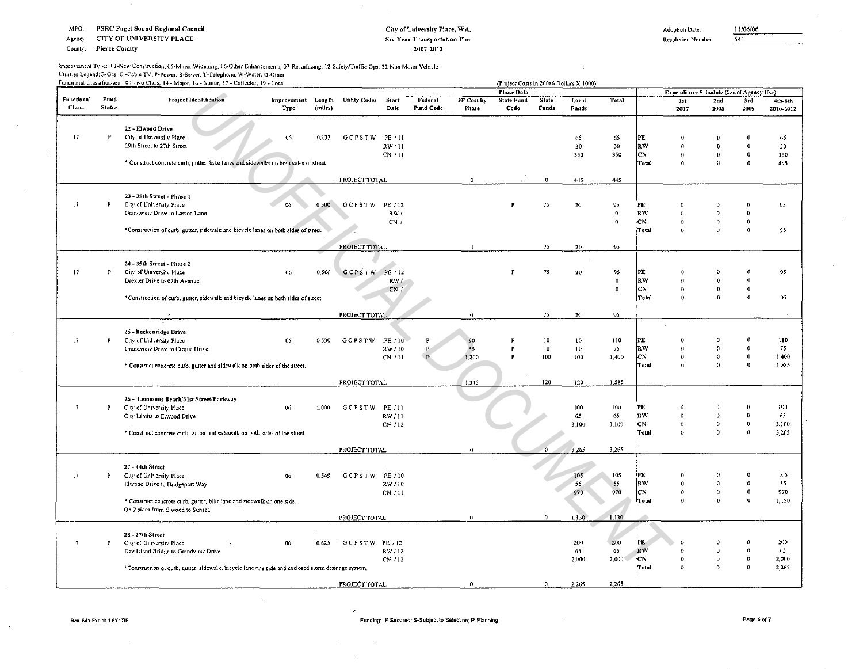**CITY OF UNIVERSITY PLACE** Agency:

County: **Pierce County** 

## City of University Place, WA. Six-Year Transportation Plan 2007-2012

Adoption Date:

11/06/06  $\overline{541}$ 

Resolution Number:

Improvement Type: 01-New Construction; 05-Minor Widening; 06-Other Enhancements; 07-Resurfacing; 12-Safety/Traffic Ops: 32-Non Motor Vehicle Utilities Legend G-Gas, C -Cable TV, P-Power, S-Sewer, T-Telephone, W-Water, O-Other

|                 |              | runcuonal Classification:  00 - No Class; 14 - Major; 16 - Minor; 17 - Collector; 19 - Local       |                    |         |                      |          |              |               | (Project Costs in 200z6 Dollars X 1000) |                  |                  |                     |            |                                         |                       |                  |           |
|-----------------|--------------|----------------------------------------------------------------------------------------------------|--------------------|---------|----------------------|----------|--------------|---------------|-----------------------------------------|------------------|------------------|---------------------|------------|-----------------------------------------|-----------------------|------------------|-----------|
|                 |              |                                                                                                    |                    |         |                      |          |              |               | Phase Data                              |                  |                  |                     |            | Expenditure Schedule (Local Agency Use) |                       |                  |           |
| Functional      | Fund         | Project Identification                                                                             | Improvement Length |         | <b>Utility Codes</b> | Start    | Federal      | FF Cost by    | <b>State Fund</b>                       | State            | Local            | Total               |            | ist                                     | 2nd                   | 3rd              | 4th-oth   |
| Class.          | Status       |                                                                                                    | Type               | (miles) |                      | Date     | Fund Code    | Phase         | Code                                    | Funds            | Funds            |                     |            | 2007                                    | 2008                  | 2009             | 2010-2012 |
|                 |              |                                                                                                    |                    |         |                      |          |              |               |                                         |                  |                  |                     |            |                                         |                       |                  |           |
|                 |              | 22 - Elwood Drive                                                                                  |                    |         |                      |          |              |               |                                         |                  |                  |                     |            |                                         |                       |                  |           |
|                 |              |                                                                                                    |                    |         |                      |          |              |               |                                         |                  |                  |                     |            |                                         |                       |                  |           |
| 17              | P            | City of University Place                                                                           | -06                | 0.133   | <b>GCPSTW</b>        | PE / 11  |              |               |                                         |                  | 65               | 65                  | PE         | $\theta$                                |                       |                  | 65        |
|                 |              | 29th Street to 27th Street                                                                         |                    |         |                      | RW/11    |              |               |                                         |                  | 30               | 30                  | RW         | $\Omega$                                | $\Omega$              | $\mathbf{0}$     | 30        |
|                 |              |                                                                                                    |                    |         |                      | CN/11    |              |               |                                         |                  | 350              | 350                 | <b>CN</b>  | $\Omega$                                | $\boldsymbol{\Omega}$ | $\bf{0}$         | 350       |
|                 |              | * Construct concrete curb, gutter, bike lanes and sidewalks on both sides of street.               |                    |         |                      |          |              |               |                                         |                  |                  |                     | Total      | $\Omega$                                | $\Omega$              | $\Omega$         | 445       |
|                 |              |                                                                                                    |                    |         |                      |          |              |               |                                         |                  |                  |                     |            |                                         |                       |                  |           |
|                 |              |                                                                                                    |                    |         | PROJECT TOTAL        |          |              | $\mathbf{0}$  |                                         | $\mathbf 0$      | 445              | 445                 |            |                                         |                       |                  |           |
|                 |              |                                                                                                    |                    |         |                      |          |              |               |                                         |                  |                  |                     |            |                                         |                       |                  |           |
|                 |              | 23 - 35th Street - Phase 1                                                                         |                    |         |                      |          |              |               |                                         |                  |                  |                     |            |                                         |                       |                  |           |
| 17              | P            | City of University Place                                                                           | 06                 | 0.500   | <b>GCPSTW</b>        | PE / 12  |              |               |                                         | 75               | 20               | 95                  | PE         | $\Omega$                                | $\Omega$              |                  | 95        |
|                 |              | Grandview Drive to Larson Lane                                                                     |                    |         |                      | RW/      |              |               |                                         |                  |                  | $\mathbf 0$         | <b>RW</b>  | $\mathbf{0}$                            | $\Omega$              | $\theta$         |           |
|                 |              |                                                                                                    |                    |         |                      | CN/      |              |               |                                         |                  |                  | $\mathbf{0}$        | <b>ICN</b> | $\Omega$                                | $\bf{0}$              | $\theta$         |           |
|                 |              | "Construction of curb, gutter, sidewalk and bicycle lanes on both sides of street.                 |                    |         |                      |          |              |               |                                         |                  |                  |                     | Total      | $\theta$                                | $\theta$              | $\theta$         | 95        |
|                 |              |                                                                                                    |                    |         |                      |          |              |               |                                         |                  |                  |                     |            |                                         |                       |                  |           |
|                 |              |                                                                                                    |                    |         | PROJECT TOTAL        |          |              | $\Omega$      |                                         | 75               | 20               | 95                  |            |                                         |                       |                  |           |
|                 |              |                                                                                                    |                    |         |                      |          |              |               |                                         |                  |                  |                     |            |                                         |                       |                  |           |
|                 |              | 24 - 35th Street - Phase 2                                                                         |                    |         |                      |          |              |               |                                         |                  |                  |                     |            |                                         |                       |                  |           |
| $\overline{17}$ | P            | City of University Place                                                                           | 06                 | 0.500   | GCPSTW PE/12         |          |              |               | P                                       | 75               | 20               | 95                  | PE.        | $\Omega$                                |                       |                  | 95        |
|                 |              | Drexler Drive to 67th Avenue                                                                       |                    |         |                      | RWL      |              |               |                                         |                  |                  | $\ddot{\mathbf{0}}$ | RW         | $\Omega$                                | $\boldsymbol{0}$      | $\theta$         |           |
|                 |              |                                                                                                    |                    |         |                      | CN       |              |               |                                         |                  |                  | $\bf{0}$            | <b>CN</b>  | $\Omega$                                | $\theta$              | $\theta$         |           |
|                 |              | *Construction of curb, gutter, sidewalk and bicycle lanes on both sides of street.                 |                    |         |                      |          |              |               |                                         |                  |                  |                     | Total      | $\alpha$                                | $\Omega$              | $\theta$         | 95.       |
|                 |              |                                                                                                    |                    |         |                      |          |              |               |                                         |                  |                  |                     |            |                                         |                       |                  |           |
|                 |              |                                                                                                    |                    |         | PROJECT TOTAL        |          |              | $\bf{0}$      |                                         | 75               | ${\bf 20}$       | 95                  |            |                                         |                       |                  |           |
|                 |              |                                                                                                    |                    |         |                      |          |              |               |                                         |                  |                  |                     |            |                                         |                       |                  |           |
|                 |              | 25 - Beckonridge Drive                                                                             |                    |         |                      |          |              |               |                                         |                  |                  |                     |            |                                         |                       |                  |           |
| 17              | $\mathbf{P}$ | City of University Place                                                                           | 06                 | 0.530   | <b>GCPSTW</b>        | .PE / 10 | $\mathbf{P}$ |               |                                         | 10               | $10^{\circ}$     | 110                 | PE         | $\bf{0}$                                | o                     |                  | 110       |
|                 |              | Grandview Drive to Cirque Drive                                                                    |                    |         |                      | RW/10    |              | 55            | P                                       | 10 <sub>10</sub> | 10 <sub>10</sub> | 75                  | <b>RW</b>  | $\Omega$                                | $\Omega$              | $\Omega$         | 75        |
|                 |              |                                                                                                    |                    |         |                      | CN / 11  |              | 1,200         | Þ                                       | 100              | 100              | 1,400               | CN         | $\theta$                                | $\theta$              | $\theta$         | 1,400     |
|                 |              | * Construct concrete curb, gutter and sidewalk on both sides of the street.                        |                    |         |                      |          |              |               |                                         |                  |                  |                     | Total      | $\mathbf{0}$                            | $\Omega$              | $\Omega$         | 1,585     |
|                 |              |                                                                                                    |                    |         |                      |          |              |               |                                         |                  |                  |                     |            |                                         |                       |                  |           |
|                 |              |                                                                                                    |                    |         | PROJECT TOTAL        |          |              | 1,345         |                                         | 120              | 120              | 1,585               |            |                                         |                       |                  |           |
|                 |              |                                                                                                    |                    |         |                      |          |              |               |                                         |                  |                  |                     |            |                                         |                       |                  |           |
|                 |              | 26 - Lemmons Beach/31st Street/Parkway                                                             |                    |         |                      |          |              |               |                                         |                  |                  |                     |            |                                         |                       |                  |           |
| 17              | P            | City of University Place                                                                           | 06                 | 1,000   | GCPSTW               | PE / 11  |              |               |                                         |                  | 100              | 100                 | PE         | $\theta$                                | $\Omega$              |                  | 100       |
|                 |              | City Limits to Elwood Drive                                                                        |                    |         |                      | RW/11    |              |               |                                         |                  | 65               | 65                  | <b>RW</b>  | $\Omega$                                | $\bf{0}$              | $\Omega$         | 65        |
|                 |              |                                                                                                    |                    |         |                      | CN / 12  |              |               |                                         |                  | 3,100            | 3,100               | <b>CN</b>  | $\Omega$                                | $\mathbf{0}$          | $\bf{0}$         | 3,100     |
|                 |              | * Construct concrete curb, gutter and sidewalk on both sides of the street.                        |                    |         |                      |          |              |               |                                         |                  |                  |                     | Total      | $\Omega$                                | $\bf{0}$              | $\boldsymbol{0}$ | 3,265     |
|                 |              |                                                                                                    |                    |         |                      |          |              |               |                                         |                  |                  |                     |            |                                         |                       |                  |           |
|                 |              |                                                                                                    |                    |         | PROJECT TOTAL        |          |              | $\mathbf{0}$  |                                         | $\overline{0}$   | 3,265            | 3,265               |            |                                         |                       |                  |           |
|                 |              |                                                                                                    |                    |         |                      |          |              |               |                                         |                  |                  |                     |            |                                         |                       |                  |           |
|                 |              | 27 - 44th Street                                                                                   |                    |         |                      |          |              |               |                                         |                  |                  |                     |            |                                         |                       |                  |           |
| 17              | P.           | City of University Place                                                                           | 06                 | 0.549   | <b>GCPSTW</b>        | PE / 10  |              |               |                                         |                  | 105              | 105                 | PE         | 0                                       | $\Omega$              |                  | 105       |
|                 |              | Elwood Drive to Bridgeport Way                                                                     |                    |         |                      | RW/10    |              |               |                                         |                  | 55               | 55                  | RW         | $\bf{0}$                                | $\Omega$              | $\theta$         | 55        |
|                 |              |                                                                                                    |                    |         |                      | CN /11   |              |               |                                         |                  | 970              | 970                 | <b>CN</b>  | $\mathbf{0}$                            | $\theta$              | $\mathbf{0}$     | 970       |
|                 |              | * Construct concrete curb, gutter, bike lane and sidewalk on one side.                             |                    |         |                      |          |              |               |                                         |                  |                  |                     | Total      | $\theta$                                | $\Omega$              | $\theta$         | 1,130     |
|                 |              | On 2 sides from Elwood to Sunset.                                                                  |                    |         |                      |          |              |               |                                         |                  |                  |                     |            |                                         |                       |                  |           |
|                 |              |                                                                                                    |                    |         | PROJECT TOTAL        |          |              | $\mathfrak o$ |                                         | $\theta$         | 1,130            | 1,130               |            |                                         |                       |                  |           |
|                 |              |                                                                                                    |                    |         |                      |          |              |               |                                         |                  |                  |                     |            |                                         |                       |                  |           |
|                 |              | 28 - 27th Street                                                                                   |                    |         |                      |          |              |               |                                         |                  |                  |                     |            |                                         |                       |                  |           |
| 17              | P            | City of University Place                                                                           | 06                 | 0.625   | GCPSTW PE/12         |          |              |               |                                         |                  | 200              | 200                 | <b>PE</b>  | $\Omega$                                |                       |                  | 200       |
|                 |              | Day Island Bridge to Grandview Drive                                                               |                    |         |                      | RW/12    |              |               |                                         |                  | 65               | 65                  | <b>RV</b>  | $\Omega$                                | $\theta$              | $\theta$         | $65 -$    |
|                 |              |                                                                                                    |                    |         |                      | CN / 12  |              |               |                                         |                  | 2,000            | 2,000               | icN.       | $\bf{0}$                                | $\theta$              | $\theta$         | 2,000     |
|                 |              | *Construction of curb, gutter, sidewalk, bicycle lane one side and enclosed storm drainage system, |                    |         |                      |          |              |               |                                         |                  |                  |                     | Total      | $\Omega$                                | $\theta$              | $\boldsymbol{0}$ | 2.265     |
|                 |              |                                                                                                    |                    |         |                      |          |              |               |                                         |                  |                  |                     |            |                                         |                       |                  |           |
|                 |              |                                                                                                    |                    |         | PROJECT TOTAL        |          |              | $\Omega$      |                                         |                  | 2,265            | 2,265               |            |                                         |                       |                  |           |

i po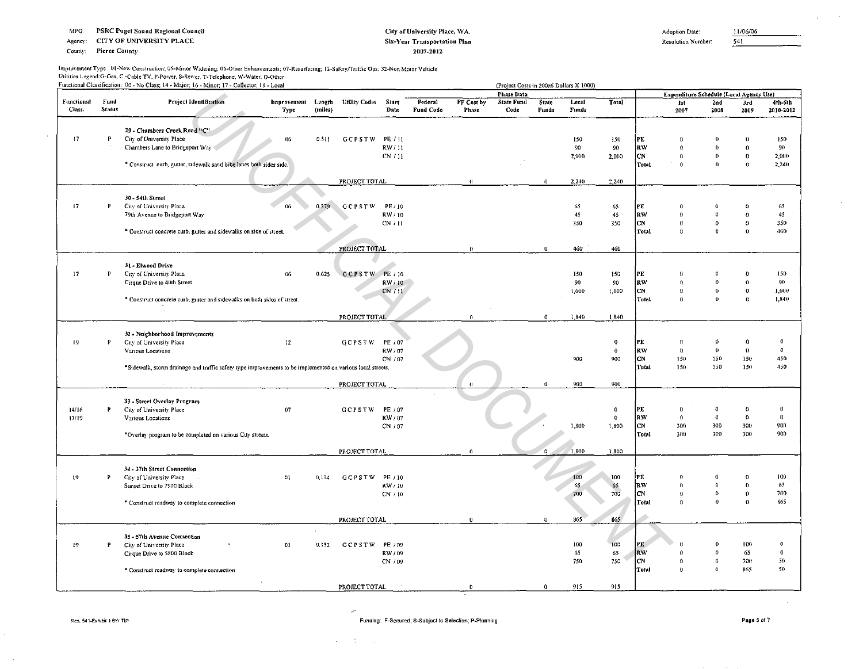CITY OF UNIVERSITY PLACE Agency:

County: Pierce County

 $\sim$ 

#### City of University Place, WA. Six-Year Transportation Plan 2007-2012

Adoption Date:

11/06/06  $\overline{541}$ 

 $\sim$ 

Resolution Number:

## Improvement Type 01-New Construction; 05-Minor Widening; 06-Other Enhancements; 07-Resurfacing; 12-Safety/Traffic Ops; 32-Non Motor Vehicle Utilities Legend: G-Gas, C -Cable TV, P-Power, S-Sewer, T-Telephone, W-Water, O-Other<br>Functional Classification: 00 - No Class: 14 - Maior: 16 - Minor: 17 - Collector: 19 - Local

|                      |                       | Functional Classification: 00 - No Class: 14 - Major; 16 - Minor: 17 - Collector; 19 - Local               |                            |         |                     |                  |                      |                            | (Project Costs in 200z6 Dollars X 1000) |                |                       |              |                           |                                         |                        |                      |                      |
|----------------------|-----------------------|------------------------------------------------------------------------------------------------------------|----------------------------|---------|---------------------|------------------|----------------------|----------------------------|-----------------------------------------|----------------|-----------------------|--------------|---------------------------|-----------------------------------------|------------------------|----------------------|----------------------|
|                      |                       |                                                                                                            |                            |         |                     |                  |                      |                            | <b>Phase Data</b>                       |                |                       |              |                           | Expenditure Schedule (Local Agency Use) |                        |                      |                      |
| Functional<br>Class. | Fund<br><b>Status</b> | <b>Project Identification</b>                                                                              | Improvement Length<br>Type | (miles) | <b>Unlity Codes</b> | Start<br>Date    | Federal<br>Fund Code | FF Cost by<br><b>Phase</b> | <b>State Fund</b><br>Code               | State<br>Funds | Local<br><b>Funds</b> | Total        |                           | lst<br>2007                             | Znd<br>2008            | 3rd<br>2009          | 4th-6th<br>2010-2012 |
|                      |                       | 29 - Chambers Creek Road "C"                                                                               |                            |         |                     |                  |                      |                            |                                         |                |                       |              |                           |                                         |                        |                      |                      |
| 17                   | P                     | City of University Place                                                                                   | 06                         | 0.511   | <b>GCPSTW</b>       | PE / 11          |                      |                            |                                         |                | 150                   | 150          | PE                        | $\Omega$                                | $\theta$               |                      | 150                  |
|                      |                       | Chambers Lane to Bridgeport Way                                                                            |                            |         |                     | RW/11            |                      |                            |                                         |                | 90                    | 90           | lrw.                      | $\theta$                                | $\theta$               | $\Omega$             | 90                   |
|                      |                       |                                                                                                            |                            |         |                     | CN / 11          |                      |                            |                                         |                | 2,000                 | 2,000        | CN.<br>Total              | $\bf{0}$<br>$\theta$                    | $\theta$<br>$\bf{0}$   | $\theta$<br>$\Omega$ | 2,000<br>2,240       |
|                      |                       | * Construct curb, gutter, sidewalk sand bike lanes both sides side.                                        |                            |         |                     |                  |                      |                            |                                         |                |                       |              |                           |                                         |                        |                      |                      |
|                      |                       |                                                                                                            |                            |         | PROJECT TOTAL       |                  |                      | $\Omega$                   |                                         | $\bf{0}$       | 2,240                 | 2,240        |                           |                                         |                        |                      |                      |
|                      |                       | 30 - 54th Street                                                                                           |                            |         |                     |                  |                      |                            |                                         |                |                       |              |                           |                                         |                        |                      |                      |
| 17                   | P                     | City of University Place<br>79th Avenue to Bridgeport Way                                                  | 06                         | 0.379   | GCPSTW              | PE / 10<br>RW/10 |                      |                            |                                         |                | 65<br>45              | 65<br>45     | PE<br>RW.                 | $\Omega$<br>$\theta$                    | $^{\circ}$<br>$\Omega$ | $_{0}$<br>$\theta$   | 65<br>45             |
|                      |                       |                                                                                                            |                            |         |                     | CN / H           |                      |                            |                                         |                | 350                   | 350          | C <sub>N</sub>            | $\Omega$                                | 0                      | $\theta$             | 350                  |
|                      |                       | * Construct concrete curb, gutter and sidewalks on side of street.                                         |                            |         |                     |                  |                      |                            |                                         |                |                       |              | Total                     | $\mathbf 0$                             | Ű                      | $\Omega$             | 460                  |
|                      |                       |                                                                                                            |                            |         | PROJECT TOTAL       |                  |                      | $\mathbf{0}$               |                                         | $\mathbf{0}$   | 460                   | 460          |                           |                                         |                        |                      |                      |
|                      |                       |                                                                                                            |                            |         |                     |                  |                      |                            |                                         |                |                       |              |                           |                                         |                        |                      |                      |
| 17                   | P                     | 31 - Elwood Drive<br>City of University Place                                                              | 06                         | 0.625   | GCPSTW PE/10        |                  |                      |                            |                                         |                | 150                   | 150          | PE                        | $^{\circ}$                              | O                      |                      | 150                  |
|                      |                       | Cirque Drive to 40th Street                                                                                |                            |         |                     | RW/10            |                      |                            |                                         |                | 90                    | 90           | RW                        | $\Omega$                                | $\Omega$               | $\theta$             | 90                   |
|                      |                       |                                                                                                            |                            |         |                     | CN/11            |                      |                            |                                         |                | 1,600                 | 1,600        | СN                        | $\theta$                                | $\theta$               | $\theta$             | 1,600                |
|                      |                       | * Construct concrete curb, gutter and sidewalks on both sides of street.                                   |                            |         |                     |                  |                      |                            |                                         |                |                       |              | Total                     | $\bf{0}$                                | $\bf{0}$               | $\Omega$             | 1,840                |
|                      |                       |                                                                                                            |                            |         | PROJECT TOTAL       |                  |                      | $\Omega$                   |                                         | $\mathbf{0}$   | 1,840                 | 1,840        |                           |                                         |                        |                      |                      |
|                      |                       |                                                                                                            |                            |         |                     |                  |                      |                            |                                         |                |                       |              |                           |                                         |                        |                      |                      |
| 19                   | Þ.                    | 32 - Neighborhood Improvements<br>City of University Place                                                 | 12                         |         | GCPSTW PE/07        |                  |                      |                            |                                         |                |                       | $\Omega$     | PE                        | $\Omega$                                | $\theta$               |                      | $\Omega$             |
|                      |                       | Various Locations                                                                                          |                            |         |                     | RW / 07          |                      |                            |                                         |                |                       | $\mathbf{0}$ | RW                        | $\mathbf{0}$                            | $\theta$               | $\theta$             | $\mathbf{0}$         |
|                      |                       |                                                                                                            |                            |         |                     | CN / 07          |                      |                            |                                         |                | 900                   | 900          | lcN.                      | 150                                     | 150                    | 150                  | 450                  |
|                      |                       | *Sidewalk, storm drainage and traffic safety type improvements to be implemented on various local streets. |                            |         |                     |                  |                      |                            |                                         |                |                       |              | Total                     | 150                                     | 150                    | 150                  | 450                  |
|                      |                       |                                                                                                            |                            |         | PROJECT TOTAL       |                  |                      |                            |                                         | $\pmb{\Omega}$ | 900                   | 900          |                           |                                         |                        |                      |                      |
|                      |                       | 33 - Street Overlay Program                                                                                |                            |         |                     |                  |                      |                            |                                         |                |                       |              |                           |                                         |                        |                      |                      |
| 14/16                | P                     | City of University Place                                                                                   | 07                         |         | GCPSTW              | PE / 07          |                      |                            |                                         |                |                       | $\theta$     | PE                        | $\theta$                                | -0                     | 0                    | $\theta$             |
| 17/19                |                       | Various Locations                                                                                          |                            |         |                     | RW/07            |                      |                            |                                         |                |                       | $\bullet$    | RW                        | $\Omega$                                | $\theta$               | $\Omega$             | $\mathbf{0}$         |
|                      |                       |                                                                                                            |                            |         |                     | CN / 07          |                      |                            |                                         |                | 1,800                 | 1,800        | C <sub>N</sub>            | 300                                     | 300<br>300             | 300                  | 900<br>900           |
|                      |                       | *Overlay program to be completed on various City streets.                                                  |                            |         |                     |                  |                      |                            |                                         |                |                       |              | Total                     | 300                                     |                        | 300                  |                      |
|                      |                       |                                                                                                            |                            |         | PROJECT TOTAL       |                  |                      | $\mathbf{0}$               |                                         | $\mathbf{0}$   | 1,800                 | 1,800        |                           |                                         |                        |                      |                      |
|                      |                       | 34 - 37th Street Connection                                                                                |                            |         |                     |                  |                      |                            |                                         |                |                       |              |                           |                                         |                        |                      |                      |
| $\mathbf{19}$        | P                     | City of University Place                                                                                   | 01                         | 0.114   | GCPSTW PE/10        |                  |                      |                            |                                         |                | 100                   | 100          | PE                        |                                         |                        |                      | 100                  |
|                      |                       | Sunset Drive to 7900 Block                                                                                 |                            |         |                     | RW / 10          |                      |                            |                                         |                | 65                    | 65           | RW                        | $\Omega$                                | $\Omega$               | $\theta$             | 65                   |
|                      |                       |                                                                                                            |                            |         |                     | CN / 10          |                      |                            |                                         |                | 700                   | 700          | C <sub>N</sub>            | $\Omega$                                | $\theta$               | $\theta$             | 700                  |
|                      |                       | * Construct roadway to complete connection                                                                 |                            |         |                     |                  |                      |                            |                                         |                |                       |              | Total                     | $\Omega$                                | $\theta$               | $\theta$             | 865                  |
|                      |                       |                                                                                                            |                            |         | PROJECT TOTAL       |                  |                      | $\bf{0}$                   |                                         | $\theta$       | 865                   | 865          |                           |                                         |                        |                      |                      |
|                      |                       | 35 - 57th Avenue Connection                                                                                |                            | $\pm$   |                     |                  |                      |                            |                                         |                |                       |              |                           |                                         |                        |                      |                      |
| 19                   | P                     | City of University Place                                                                                   | 01                         | 0.152   | GCPSTW PE/09        |                  |                      |                            |                                         |                | 100                   | 100          | PE <sup>-</sup>           |                                         | $\bf{0}$               | 100                  | $\mathbf 0$          |
|                      |                       | Cirque Drive to 5800 Block                                                                                 |                            |         |                     | RW/09            |                      |                            |                                         |                | 65                    | 65           | <b>RW</b>                 |                                         | $\Omega$               | 65                   | $\mathbf 0$          |
|                      |                       |                                                                                                            |                            |         |                     | CN / 09          |                      |                            |                                         |                | 750                   | 750          | <b>CN</b><br><b>Tetal</b> | $\Omega$<br>$\alpha$                    | $\theta$<br>$\Omega$   | 700<br>865           | 50<br>50             |
|                      |                       | * Construct roadway to complete connection                                                                 |                            |         |                     |                  |                      |                            |                                         |                |                       |              |                           |                                         |                        |                      |                      |
|                      |                       |                                                                                                            |                            |         | PROJECT TOTAL       |                  |                      | $\pmb{0}$                  |                                         | $\bf{0}$       | 915                   | 915          |                           |                                         |                        |                      |                      |

j.

 $\mathcal{A}=\mathcal{A}^{\mathcal{A}}$  , where  $\mathcal{A}^{\mathcal{A}}$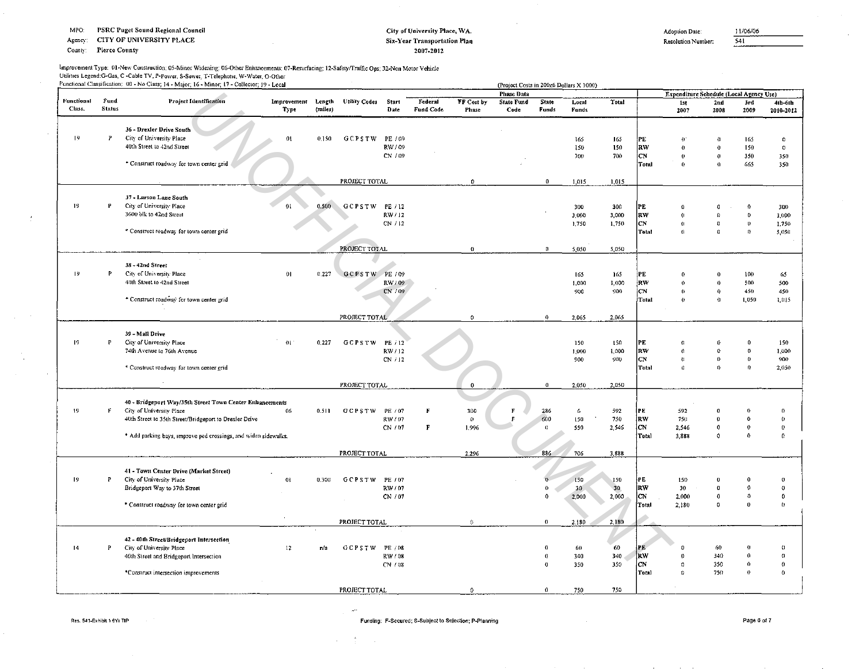Agency: CITY OF UNIVERSITY PLACE

#### **Pierce County** County:

 $\sim$ 

## City of University Place, WA. Six-Year Transportation Plan 2007-2012

Adoption Date:

 $\overline{541}$ 

**Resolution Number:** 

| Improvement Type: 01-New Construction; 05-Minor Widening; 06-Other Enhancements; 07-Resurfacing; 12-Safety/Traffic Ops; 32-Non Motor Vehicle |
|----------------------------------------------------------------------------------------------------------------------------------------------|
| Utilities Legend:G-Gas, C -Cable TV, P-Power, S-Sewer, T-Telephone, W-Water, O-Other                                                         |
| Functional Classification: 00 - No Class: 14 - Major: 16 - Minor: 17 - Collector: 19 - Local                                                 |

|                   |               | Functional Classification: 00 - No Class; 14 - Major; 16 - Minor; 17 - Collector; 19 - Local |                                        |         |                      |                  |                      |                     |                           |                       | (Project Costs in 200z6 Dollars X 1000) |                 |           |                                         |                         |                      |                      |
|-------------------|---------------|----------------------------------------------------------------------------------------------|----------------------------------------|---------|----------------------|------------------|----------------------|---------------------|---------------------------|-----------------------|-----------------------------------------|-----------------|-----------|-----------------------------------------|-------------------------|----------------------|----------------------|
| <b>Functional</b> | Fund          | Project Identification                                                                       |                                        |         |                      |                  |                      |                     | <b>Phase Data</b>         |                       |                                         |                 |           | Expenditure Schedule (Local Agency Use) |                         |                      |                      |
| Class.            | <b>Status</b> |                                                                                              | Improvement Length<br>T <sub>ype</sub> | (miles) | <b>Utility Codes</b> | Start<br>Date    | Federal<br>Fund Code | FF Cest by<br>Phase | <b>State Fund</b><br>Code | <b>State</b><br>Funds | Local<br>Funds                          | Total           |           | 1st<br>2007                             | 2 <sub>nd</sub><br>2008 | 3rd<br>2009          | 4th-6th<br>2010-2012 |
|                   |               | 36 - Drexler Drive South                                                                     |                                        |         |                      |                  |                      |                     |                           |                       |                                         |                 |           |                                         |                         |                      |                      |
| $19 -$            | P             | City of University Place                                                                     | 01                                     | 0.150   | GCPSTW               | PE / 09          |                      |                     |                           |                       | 165                                     | 165             | PE        | $\theta$                                | 0                       | 165                  | $\theta$             |
|                   |               | 40th Street to 42nd Street                                                                   |                                        |         |                      | RW/09            |                      |                     |                           |                       | 150                                     | 150             | <b>RW</b> | $\theta$                                | $\bf{0}$                | 150                  | $^{\circ}$           |
|                   |               |                                                                                              |                                        |         |                      | CN / 09          |                      |                     |                           |                       | 700                                     | 700             | CN        | $\theta$                                | $\bf{0}$                | 350                  | 350                  |
|                   |               | * Construct roadway for town center grid                                                     |                                        |         |                      |                  |                      |                     |                           |                       |                                         |                 | Total     | $\bf{0}$                                | $\Omega$                | 665                  | 350                  |
|                   |               |                                                                                              |                                        |         | PROJECT TOTAL        |                  |                      | $\Omega$            |                           | $\mathbf{0}$          | 1.015                                   | 1,015           |           |                                         |                         |                      |                      |
|                   |               | 37 - Larson Lane South                                                                       |                                        |         |                      |                  |                      |                     |                           |                       |                                         |                 |           |                                         |                         |                      |                      |
| 19                | P             | City of University Place                                                                     | 01                                     | 0.500   | <b>GCPSTW</b>        | FE / 12          |                      |                     |                           |                       | 300                                     | 300             | PE        | $\Omega$                                | a                       | $\theta$             | 300                  |
|                   |               | 3600 blk to 42nd Street                                                                      |                                        |         |                      | RW/12            |                      |                     |                           |                       | 3,000                                   | 3,000           | RW        | $\theta$                                | $\Omega$                | $\Omega$             | 3,000                |
|                   |               |                                                                                              |                                        |         |                      | CN / 12          |                      |                     |                           |                       | 1,750                                   | 1,750           | <b>CN</b> | $\theta$                                | $\Omega$                | $\theta$             | 1.750                |
|                   |               | * Construct roadway for town center grid                                                     |                                        |         |                      |                  |                      |                     |                           |                       |                                         |                 | Total     | $\Omega$                                | o                       | $\Omega$             | 5,050                |
|                   |               |                                                                                              |                                        |         | PROJECT TOTAL        |                  |                      | $\bf{0}$            |                           | 0                     | 5,050                                   | 5.050           |           |                                         |                         |                      |                      |
|                   |               |                                                                                              |                                        |         |                      |                  |                      |                     |                           |                       |                                         |                 |           |                                         |                         |                      |                      |
| 19                | P             | 38-42nd Street<br>City of University Place                                                   | $\Omega$                               |         |                      |                  |                      |                     |                           |                       |                                         |                 |           |                                         |                         |                      |                      |
|                   |               | 40th Street to 42nd Street                                                                   |                                        | 0.227   | <b>GCPSTW</b>        | PE / 09<br>RW/09 |                      |                     |                           |                       | 165<br>1,000                            | 165<br>1,000    | PE<br>RW  | -0<br>$\theta$                          | $\bf{0}$<br>$\bf{0}$    | 100<br>500           | 65<br>500            |
|                   |               |                                                                                              |                                        |         |                      | CN / 09          |                      |                     |                           |                       | 900                                     | 900             | <b>CN</b> | $\theta$                                | $\mathbf 0$             | 450                  | 450                  |
|                   |               | * Construct roadway for town center grid                                                     |                                        |         |                      |                  |                      |                     |                           |                       |                                         |                 | Total     | $\mathbf{0}$                            | $\mathbf{0}$            | 1,050                | 1,015                |
|                   |               |                                                                                              |                                        |         |                      |                  |                      |                     |                           |                       |                                         |                 |           |                                         |                         |                      |                      |
|                   |               |                                                                                              |                                        |         | PROJECT TOTAL        |                  |                      | $\mathbf{0}$        |                           | $\mathbf 0$           | 2.065                                   | 2,065           |           |                                         |                         |                      |                      |
|                   |               | 39 - Mall Drive                                                                              |                                        |         |                      |                  |                      |                     |                           |                       |                                         |                 |           |                                         |                         |                      |                      |
| 19                | P             | City of University Place                                                                     | 01                                     | 0,227   | GCPSTW               | PE / 12          |                      |                     |                           |                       | 150                                     | 150             | PE        | $\Omega$                                | $\theta$                |                      | 150                  |
|                   |               | 74th Avenue to 76th Avenue                                                                   |                                        |         |                      | RW/12            |                      |                     |                           |                       | 1,000                                   | 1,000           | RW        | $\Omega$                                | $\Omega$                |                      | 1,000                |
|                   |               |                                                                                              |                                        |         |                      | CN / 12          |                      |                     |                           |                       | 900                                     | 900             | lсN       | $\,$ 0                                  | 0                       | $\bf{0}$             | 900                  |
|                   |               | * Construct roadway for town center grid                                                     |                                        |         |                      |                  |                      |                     |                           |                       |                                         |                 | Total     | $\Omega$                                | $\theta$                | $\theta$             | 2,050                |
|                   |               |                                                                                              |                                        |         |                      |                  |                      |                     |                           |                       |                                         |                 |           |                                         |                         |                      |                      |
|                   |               |                                                                                              |                                        |         | PROJECT TOTAL        |                  |                      | $\bf{0}$            |                           | $\bf{0}$              | 2,050                                   | 2,050           |           |                                         |                         |                      |                      |
|                   |               | 40 - Bridgeport Way/35th Street Town Center Enhancements                                     |                                        |         |                      |                  |                      |                     |                           |                       |                                         |                 |           |                                         |                         |                      |                      |
| $\overline{19}$   | $\mathbf{F}$  | City of University Place                                                                     | 06                                     | 0.511   | <b>GCPSTW</b>        | PE / 07          | F                    | 300                 | F                         | 286                   | 6                                       | 592             | PE        | 592                                     | ß                       |                      | $\Omega$             |
|                   |               | 40th Street to 35th Street/Bridgeport to Drexler Drive                                       |                                        |         |                      | RW/07            |                      | $\theta$            | R                         | 600                   | 150                                     | 750             | RW        | 750                                     | Ď                       | $\Omega$             | $\boldsymbol{0}$     |
|                   |               |                                                                                              |                                        |         |                      | CN / 07          | $\mathbf{F}$         | 1,996               |                           | $\Omega$              | 550                                     | 2,546           | lCN.      | 2,546                                   | $\theta$                | $\boldsymbol{0}$     | $\bf{0}$             |
|                   |               | * Add parking bays, improve ped crossings, and widen sidewalks.                              |                                        |         |                      |                  |                      |                     |                           |                       |                                         |                 | Total     | 3,888                                   | $\Omega$                | $\theta$             | $\Omega$             |
|                   |               |                                                                                              |                                        |         | PROJECT TOTAL        |                  |                      | 2,296               |                           | 886                   | 706                                     | 3,888           |           |                                         |                         |                      |                      |
|                   |               |                                                                                              |                                        |         |                      |                  |                      |                     |                           |                       |                                         |                 |           |                                         |                         |                      |                      |
| 19                | ₽             | 41 - Town Center Drive (Market Street)                                                       |                                        |         |                      |                  |                      |                     |                           | n                     |                                         | 150             | PE.       | 150                                     | $\Omega$                | O                    | $\boldsymbol{0}$     |
|                   |               | City of University Place<br>Bridgeport Way to 37th Street                                    | 01                                     | 0.300   | <b>GCPSTW</b>        | PE / 07<br>RW/07 |                      |                     |                           | $\theta$              | 150<br>30                               | 30 <sub>1</sub> | RW        | 30                                      | $\theta$                | O                    | $\theta$             |
|                   |               |                                                                                              |                                        |         |                      | CN / 07          |                      |                     |                           | $\Omega$              | 2,000                                   | 2,000           | CN        | 2,000                                   | $\bf{0}$                | $\Omega$             | $\Omega$             |
|                   |               | * Construct roadway for town center grid                                                     |                                        |         |                      |                  |                      |                     |                           |                       |                                         |                 | Total     | 2,180                                   | $\theta$                | $\bf{0}$             | $\boldsymbol{0}$     |
|                   |               |                                                                                              |                                        |         |                      |                  |                      |                     |                           |                       |                                         |                 |           |                                         |                         |                      |                      |
|                   |               |                                                                                              |                                        |         | PROJECT TOTAL        |                  |                      | $\theta$            |                           | $\mathbf{0}$          | 2.180                                   | 2,180           |           |                                         |                         |                      |                      |
|                   |               | 42 - 40th Street/Bridgeport Intersection                                                     |                                        |         |                      |                  |                      |                     |                           |                       |                                         |                 |           |                                         |                         |                      |                      |
| 14                | P             | City of University Place                                                                     | 12 <sub>2</sub>                        | n/a     | <b>GCPSTW</b>        | PE / 08          |                      |                     |                           | $\theta$              | 60                                      | 60              | PE        |                                         | 60                      | 0                    | $\Omega$             |
|                   |               | 40th Street and Bridgeport Intersection                                                      |                                        |         |                      | RW/08            |                      |                     |                           | $\theta$              | 340                                     | 340             | RW        | $\theta$                                | 340                     | $\Omega$             | $\Omega$             |
|                   |               |                                                                                              |                                        |         |                      | CN / 08          |                      |                     |                           | $\mathbf 0$           | 350                                     | 350             | CN        | $\Omega$                                | 350                     | $\bf{0}$<br>$\theta$ | $\theta$             |
|                   |               | *Construct intersection improvements                                                         |                                        |         |                      |                  |                      |                     |                           |                       |                                         |                 | Total     | $\theta$                                | 750                     |                      | $\overline{0}$       |
|                   |               |                                                                                              |                                        |         | PROJECT TOTAL        |                  |                      | $\bf{0}$            |                           | $\mathbf{0}$          | 750                                     | 750             |           |                                         |                         |                      |                      |

 $\mu^{\mu\nu}$ 

 $\mathcal{A}=\frac{1}{2}$  ,  $\mathcal{A}=\frac{1}{2}$ 

11/06/06

 $\sim$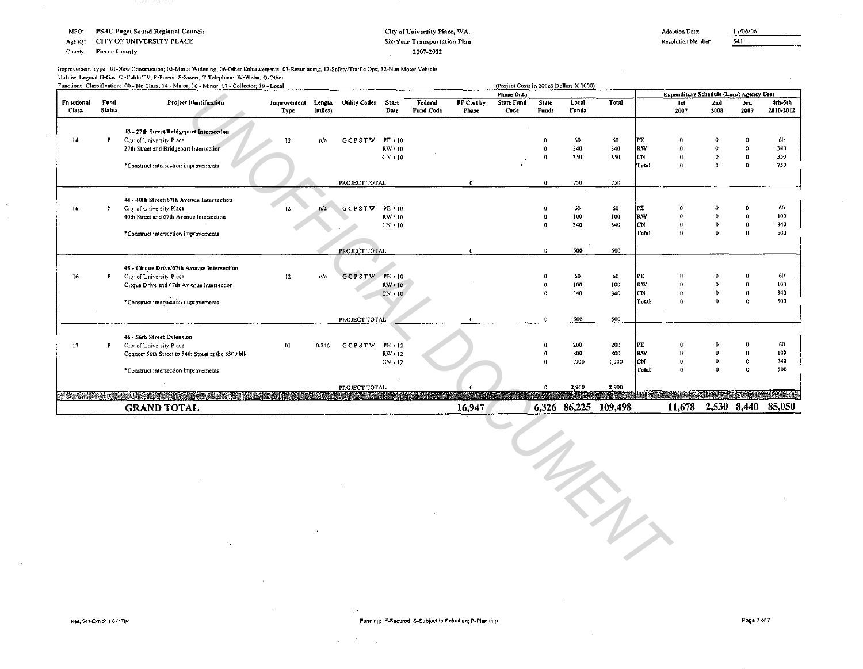MPO: **PSRC Puget Sound Regional Council** 

CITY OF UNIVERSITY PLACE Agency:

**Pierce County** County:

#### City of University Place, WA. Six-Year Transportation Plan 2007-2012

Adoption Date:

11/06/06  $541$ 

Resolution Number:

#### Improvement Type: 01-New Construction; 05-Minor Widening; 06-Other Enhancements; 07-Resurfacing; 12-Safety/Traffic Ops; 32-Non Motor Vehicle Unlities Legend G-Gas, C -Cable TV, P-Power, S-Sewer, T-Telephone, W-Water, O-Other Functional Clossification: 00 - No Class: 14 - Major: 16 - Minor: 17 - Collector: 18 - Local

|                      |                | Functional Classification: 00 - No Class: 14 - Major: 16 - Minor: 17 - Collector: 19 - Local                    |                     |                   |                      |               |                      |                     |                           |                | (Project Costs in 200z6 Dollars X 1000) |                      |                      |                                         |                |               |                      |
|----------------------|----------------|-----------------------------------------------------------------------------------------------------------------|---------------------|-------------------|----------------------|---------------|----------------------|---------------------|---------------------------|----------------|-----------------------------------------|----------------------|----------------------|-----------------------------------------|----------------|---------------|----------------------|
|                      |                |                                                                                                                 |                     |                   |                      |               |                      |                     | <b>Phase Data</b>         |                |                                         |                      |                      | Expenditure Schedule (Local Agency Use) |                |               |                      |
| Functional<br>Class. | Fund<br>Status | Project Identification                                                                                          | Improvement<br>Type | Length<br>(miles) | <b>Utility Codes</b> | Start<br>Date | Federal<br>Fund Code | FF Cost by<br>Phase | <b>State Fund</b><br>Code | State<br>Funds | Local<br>Funds                          | Total                |                      | 1st<br>2007                             | Znd<br>2008    | ' 3rd<br>2009 | 4th-6th<br>2010-2012 |
|                      |                | 43 - 27th Street/Bridgeport Intersection                                                                        |                     |                   |                      |               |                      |                     |                           |                |                                         |                      |                      |                                         |                |               |                      |
| $\frac{14}{2}$       |                | City of University Place                                                                                        | 12                  | π/a               | <b>GCPSTW</b>        | PE / 10       |                      |                     |                           |                | 60                                      | 60                   | PE                   | -0                                      |                |               | 60                   |
|                      |                | 27th Street and Bridgeport Intersection                                                                         |                     |                   |                      | RW/10         |                      |                     |                           |                | 340                                     | 340                  | RW                   | $\Omega$                                |                | $\Omega$      | 340                  |
|                      |                |                                                                                                                 |                     |                   |                      | CN / 10       |                      |                     |                           |                | 350                                     | 350                  | <b>CN</b>            | $\theta$                                | $\alpha$       | $\mathbf{v}$  | 350<br>750           |
|                      |                | *Construct intersection improvements                                                                            |                     |                   |                      |               |                      |                     |                           |                |                                         |                      | <b>Total</b>         | $\Omega$                                |                | $\Omega$      |                      |
|                      |                |                                                                                                                 |                     |                   | PROJECT TOTAL        |               |                      | $\theta$            |                           | $\Omega$       | 750                                     | 750                  |                      |                                         |                |               |                      |
|                      |                | 44 - 40th Street/67th Avenue Intersection                                                                       |                     |                   |                      |               |                      |                     |                           |                |                                         |                      |                      |                                         |                |               |                      |
| 16                   | P              | City of University Place                                                                                        | $12-12$             | n/a               | <b>GCPSTW</b>        | PE / 10       |                      |                     |                           |                | 60                                      | 60                   | PE                   |                                         |                |               | 60                   |
|                      |                | 40th Street and 67th Avenue Intersection                                                                        |                     |                   |                      | RW/10         |                      |                     |                           |                | 100                                     | 100                  | <b>RW</b>            | $\theta$                                | A              | $\Omega$      | 100                  |
|                      |                |                                                                                                                 |                     |                   |                      | CN / 10       |                      |                     |                           |                | 340                                     | 340                  | CN                   | $\eta$                                  | o              |               | 340                  |
|                      |                | *Construct intersection improvements                                                                            |                     |                   |                      |               |                      |                     |                           |                |                                         |                      | Total                | $\Omega$                                | $\bf{0}$       | $^{\circ}$    | 500                  |
|                      |                |                                                                                                                 |                     |                   | PROJECT TOTAL        |               |                      | $\mathbf{0}$        |                           | $\Omega$       | 500                                     | 500                  |                      |                                         |                |               |                      |
|                      |                |                                                                                                                 |                     |                   |                      |               |                      |                     |                           |                |                                         |                      |                      |                                         |                |               |                      |
| 16                   | P              | 45 - Cirque Drive/67th Avenue Intersection<br>City of University Place                                          | 12 <sub>12</sub>    | n/a               | GCPSTW PE/10         |               |                      |                     |                           |                | 60                                      | 60                   | PE                   |                                         |                |               | 60                   |
|                      |                | Cirque Drive and 67th Av enue Intersection                                                                      |                     |                   |                      | RW/10         |                      |                     |                           |                | 100                                     | 100                  | <b>RW</b>            |                                         |                |               | 100                  |
|                      |                |                                                                                                                 |                     |                   |                      | CN / 10       |                      |                     |                           |                | 340                                     | 340                  | CN                   | $\Omega$                                | $\theta$       |               | 340                  |
|                      |                | *Construct intersection improvements                                                                            |                     |                   |                      |               |                      |                     |                           |                |                                         |                      | Total                | n                                       | $\mathbf{0}$   |               | 500                  |
|                      |                |                                                                                                                 |                     |                   | PROJECT TOTAL        |               |                      | $_{\rm 0}$          |                           | $\bf{0}$       | 500                                     | 500                  |                      |                                         |                |               |                      |
|                      |                |                                                                                                                 |                     |                   |                      |               |                      |                     |                           |                |                                         |                      |                      |                                         |                |               |                      |
| 17                   | Р              | 46 - 56th Street Extension<br>City of University Place                                                          | 01                  | 0.246             | <b>GCPSTW</b>        | PE / 12       |                      |                     |                           |                | 200                                     | 200                  | PE                   |                                         |                |               | 60                   |
|                      |                | Connect 56th Street to 54th Street at the 8500 bik                                                              |                     |                   |                      | RW/12         |                      |                     |                           |                | 800                                     | 800                  | RW                   | $\Omega$                                |                |               | 100                  |
|                      |                |                                                                                                                 |                     |                   |                      | CN / 12       |                      |                     |                           |                | 1,900                                   | 1,900                | ICN.                 | $\Omega$                                | 0              | 0             | 340                  |
|                      |                | *Construct intersection improvements                                                                            |                     |                   |                      |               |                      |                     |                           |                |                                         |                      | Total                | $\theta$                                | $\mathbf{0}$   |               | 500                  |
|                      |                |                                                                                                                 |                     |                   | PROJECT TOTAL        |               |                      |                     |                           |                | 2,900                                   | 2,900                |                      |                                         |                |               |                      |
|                      |                | N THE STATE TO A THOUGH THE HEALTH CONTROL STATE OF THE CONTROL STATE OF THE CONTROL STATE OF THE CONTROL STATE |                     |                   |                      |               |                      |                     |                           |                |                                         | <b>MARK SERVICES</b> | <b>KRASK REVISER</b> |                                         | <b>PART DE</b> |               | eas a pana           |
|                      |                | <b>GRAND TOTAL</b>                                                                                              |                     |                   |                      |               |                      | 16,947              |                           |                |                                         | 6,326 86,225 109,498 |                      | 11,678                                  |                | 2,530 8,440   | 85,050               |



 $\mathcal{A}^{\pm}$  $\sim 10^7$